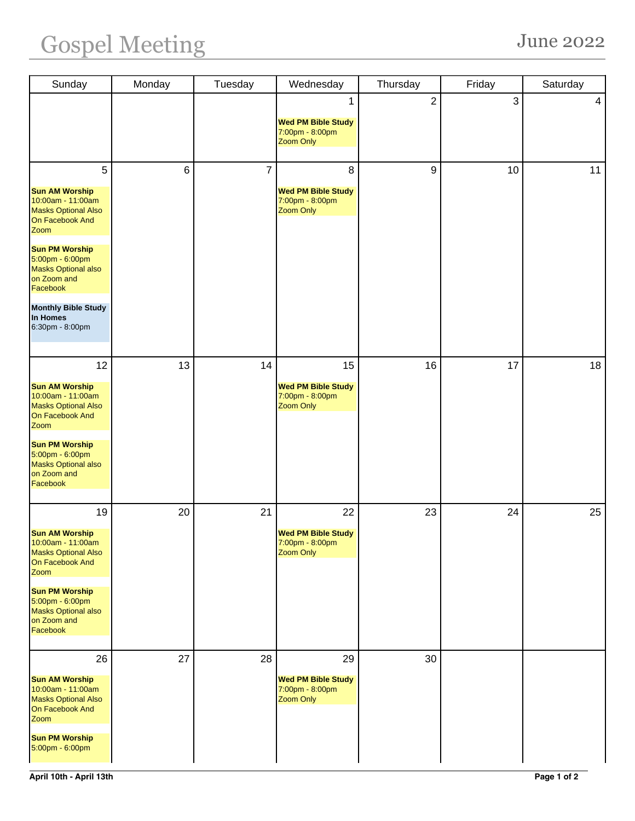| Sunday                                                                                                    | Monday | Tuesday        | Wednesday                                                              | Thursday         | Friday | Saturday       |
|-----------------------------------------------------------------------------------------------------------|--------|----------------|------------------------------------------------------------------------|------------------|--------|----------------|
|                                                                                                           |        |                | 1<br><b>Wed PM Bible Study</b><br>7:00pm - 8:00pm<br>Zoom Only         | $\overline{2}$   | 3      | $\overline{4}$ |
| 5<br><b>Sun AM Worship</b><br>10:00am - 11:00am<br><b>Masks Optional Also</b><br>On Facebook And<br>Zoom  | $\,6$  | $\overline{7}$ | 8<br><b>Wed PM Bible Study</b><br>7:00pm - 8:00pm<br><b>Zoom Only</b>  | $\boldsymbol{9}$ | 10     | 11             |
| <b>Sun PM Worship</b><br>5:00pm - 6:00pm<br><b>Masks Optional also</b><br>on Zoom and<br>Facebook         |        |                |                                                                        |                  |        |                |
| <b>Monthly Bible Study</b><br>In Homes<br>6:30pm - 8:00pm                                                 |        |                |                                                                        |                  |        |                |
| 12                                                                                                        | 13     | 14             | 15                                                                     | 16               | 17     | 18             |
| <b>Sun AM Worship</b><br>10:00am - 11:00am<br><b>Masks Optional Also</b><br>On Facebook And<br>Zoom       |        |                | <b>Wed PM Bible Study</b><br>7:00pm - 8:00pm<br>Zoom Only              |                  |        |                |
| <b>Sun PM Worship</b><br>5:00pm - 6:00pm<br><b>Masks Optional also</b><br>on Zoom and<br>Facebook         |        |                |                                                                        |                  |        |                |
| 19                                                                                                        | 20     | 21             | 22                                                                     | 23               | 24     | 25             |
| <b>Sun AM Worship</b><br>$10:00$ am - 11:00am<br><b>Masks Optional Also</b><br>On Facebook And<br>Zoom    |        |                | <b>Wed PM Bible Study</b><br>7:00pm - 8:00pm<br><b>Zoom Only</b>       |                  |        |                |
| <b>Sun PM Worship</b><br>5:00pm - 6:00pm<br><b>Masks Optional also</b><br>on Zoom and<br>Facebook         |        |                |                                                                        |                  |        |                |
| 26<br><b>Sun AM Worship</b><br>10:00am - 11:00am<br><b>Masks Optional Also</b><br>On Facebook And<br>Zoom | 27     | 28             | 29<br><b>Wed PM Bible Study</b><br>7:00pm - 8:00pm<br><b>Zoom Only</b> | 30               |        |                |
| <b>Sun PM Worship</b><br>5:00pm - 6:00pm                                                                  |        |                |                                                                        |                  |        |                |